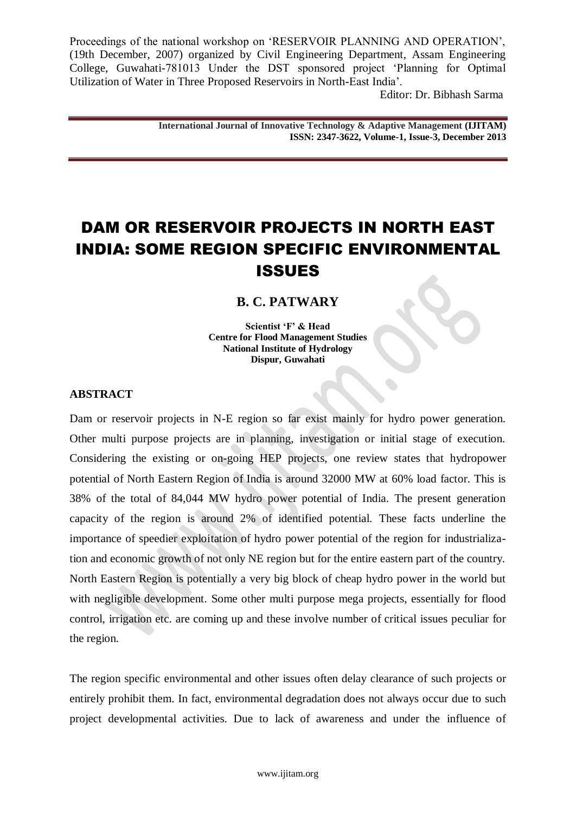Editor: Dr. Bibhash Sarma

**International Journal of Innovative Technology & Adaptive Management (IJITAM) ISSN: 2347-3622, Volume-1, Issue-3, December 2013**

# DAM OR RESERVOIR PROJECTS IN NORTH EAST INDIA: SOME REGION SPECIFIC ENVIRONMENTAL ISSUES

## **B. C. PATWARY**

**Scientist 'F' & Head Centre for Flood Management Studies National Institute of Hydrology Dispur, Guwahati**

#### **ABSTRACT**

Dam or reservoir projects in N-E region so far exist mainly for hydro power generation. Other multi purpose projects are in planning, investigation or initial stage of execution. Considering the existing or on-going HEP projects, one review states that hydropower potential of North Eastern Region of India is around 32000 MW at 60% load factor. This is 38% of the total of 84,044 MW hydro power potential of India. The present generation capacity of the region is around 2% of identified potential. These facts underline the importance of speedier exploitation of hydro power potential of the region for industrialization and economic growth of not only NE region but for the entire eastern part of the country. North Eastern Region is potentially a very big block of cheap hydro power in the world but with negligible development. Some other multi purpose mega projects, essentially for flood control, irrigation etc. are coming up and these involve number of critical issues peculiar for the region.

The region specific environmental and other issues often delay clearance of such projects or entirely prohibit them. In fact, environmental degradation does not always occur due to such project developmental activities. Due to lack of awareness and under the influence of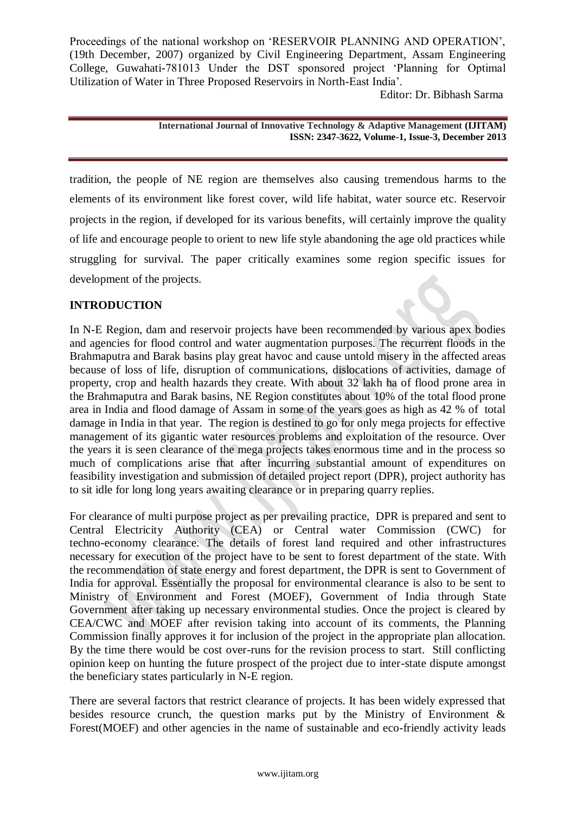Editor: Dr. Bibhash Sarma

**International Journal of Innovative Technology & Adaptive Management (IJITAM) ISSN: 2347-3622, Volume-1, Issue-3, December 2013**

tradition, the people of NE region are themselves also causing tremendous harms to the elements of its environment like forest cover, wild life habitat, water source etc. Reservoir projects in the region, if developed for its various benefits, will certainly improve the quality of life and encourage people to orient to new life style abandoning the age old practices while struggling for survival. The paper critically examines some region specific issues for development of the projects.

## **INTRODUCTION**

In N-E Region, dam and reservoir projects have been recommended by various apex bodies and agencies for flood control and water augmentation purposes. The recurrent floods in the Brahmaputra and Barak basins play great havoc and cause untold misery in the affected areas because of loss of life, disruption of communications, dislocations of activities, damage of property, crop and health hazards they create. With about 32 lakh ha of flood prone area in the Brahmaputra and Barak basins, NE Region constitutes about 10% of the total flood prone area in India and flood damage of Assam in some of the years goes as high as 42 % of total damage in India in that year. The region is destined to go for only mega projects for effective management of its gigantic water resources problems and exploitation of the resource. Over the years it is seen clearance of the mega projects takes enormous time and in the process so much of complications arise that after incurring substantial amount of expenditures on feasibility investigation and submission of detailed project report (DPR), project authority has to sit idle for long long years awaiting clearance or in preparing quarry replies.

For clearance of multi purpose project as per prevailing practice, DPR is prepared and sent to Central Electricity Authority (CEA) or Central water Commission (CWC) for techno-economy clearance. The details of forest land required and other infrastructures necessary for execution of the project have to be sent to forest department of the state. With the recommendation of state energy and forest department, the DPR is sent to Government of India for approval. Essentially the proposal for environmental clearance is also to be sent to Ministry of Environment and Forest (MOEF), Government of India through State Government after taking up necessary environmental studies. Once the project is cleared by CEA/CWC and MOEF after revision taking into account of its comments, the Planning Commission finally approves it for inclusion of the project in the appropriate plan allocation. By the time there would be cost over-runs for the revision process to start. Still conflicting opinion keep on hunting the future prospect of the project due to inter-state dispute amongst the beneficiary states particularly in N-E region.

There are several factors that restrict clearance of projects. It has been widely expressed that besides resource crunch, the question marks put by the Ministry of Environment & Forest(MOEF) and other agencies in the name of sustainable and eco-friendly activity leads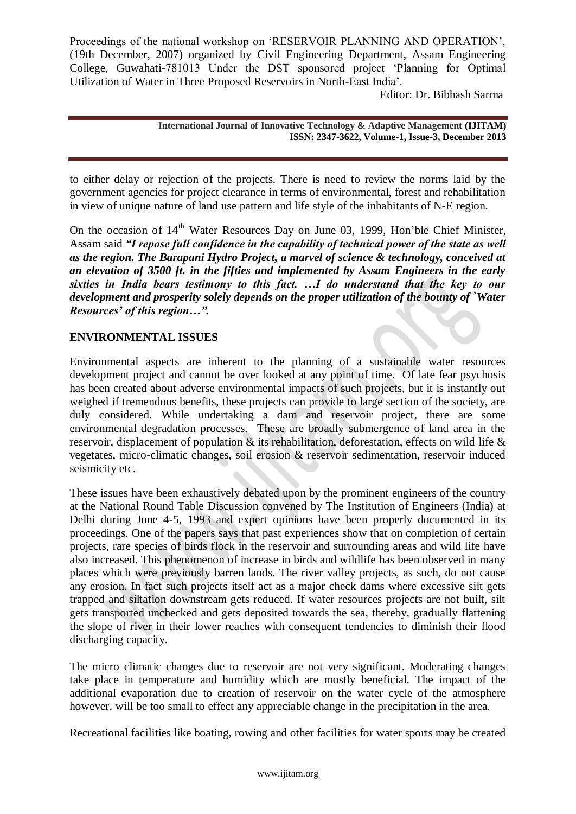Editor: Dr. Bibhash Sarma

**International Journal of Innovative Technology & Adaptive Management (IJITAM) ISSN: 2347-3622, Volume-1, Issue-3, December 2013**

to either delay or rejection of the projects. There is need to review the norms laid by the government agencies for project clearance in terms of environmental, forest and rehabilitation in view of unique nature of land use pattern and life style of the inhabitants of N-E region.

On the occasion of 14<sup>th</sup> Water Resources Day on June 03, 1999, Hon'ble Chief Minister. Assam said *"I repose full confidence in the capability of technical power of the state as well as the region. The Barapani Hydro Project, a marvel of science & technology, conceived at an elevation of 3500 ft. in the fifties and implemented by Assam Engineers in the early sixties in India bears testimony to this fact. …I do understand that the key to our development and prosperity solely depends on the proper utilization of the bounty of `Water Resources' of this region…".* 

## **ENVIRONMENTAL ISSUES**

Environmental aspects are inherent to the planning of a sustainable water resources development project and cannot be over looked at any point of time. Of late fear psychosis has been created about adverse environmental impacts of such projects, but it is instantly out weighed if tremendous benefits, these projects can provide to large section of the society, are duly considered. While undertaking a dam and reservoir project, there are some environmental degradation processes. These are broadly submergence of land area in the reservoir, displacement of population & its rehabilitation, deforestation, effects on wild life & vegetates, micro-climatic changes, soil erosion & reservoir sedimentation, reservoir induced seismicity etc.

These issues have been exhaustively debated upon by the prominent engineers of the country at the National Round Table Discussion convened by The Institution of Engineers (India) at Delhi during June 4-5, 1993 and expert opinions have been properly documented in its proceedings. One of the papers says that past experiences show that on completion of certain projects, rare species of birds flock in the reservoir and surrounding areas and wild life have also increased. This phenomenon of increase in birds and wildlife has been observed in many places which were previously barren lands. The river valley projects, as such, do not cause any erosion. In fact such projects itself act as a major check dams where excessive silt gets trapped and siltation downstream gets reduced. If water resources projects are not built, silt gets transported unchecked and gets deposited towards the sea, thereby, gradually flattening the slope of river in their lower reaches with consequent tendencies to diminish their flood discharging capacity.

The micro climatic changes due to reservoir are not very significant. Moderating changes take place in temperature and humidity which are mostly beneficial. The impact of the additional evaporation due to creation of reservoir on the water cycle of the atmosphere however, will be too small to effect any appreciable change in the precipitation in the area.

Recreational facilities like boating, rowing and other facilities for water sports may be created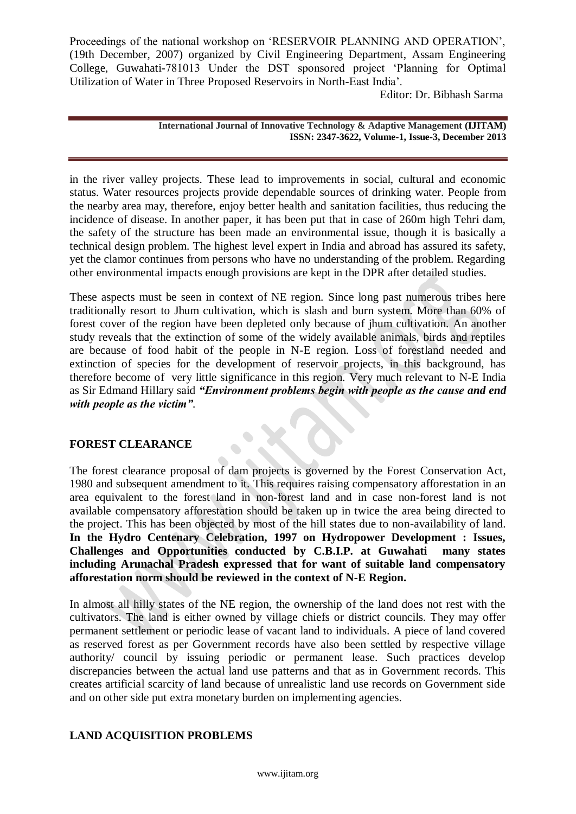Editor: Dr. Bibhash Sarma

**International Journal of Innovative Technology & Adaptive Management (IJITAM) ISSN: 2347-3622, Volume-1, Issue-3, December 2013**

in the river valley projects. These lead to improvements in social, cultural and economic status. Water resources projects provide dependable sources of drinking water. People from the nearby area may, therefore, enjoy better health and sanitation facilities, thus reducing the incidence of disease. In another paper, it has been put that in case of 260m high Tehri dam, the safety of the structure has been made an environmental issue, though it is basically a technical design problem. The highest level expert in India and abroad has assured its safety, yet the clamor continues from persons who have no understanding of the problem. Regarding other environmental impacts enough provisions are kept in the DPR after detailed studies.

These aspects must be seen in context of NE region. Since long past numerous tribes here traditionally resort to Jhum cultivation, which is slash and burn system. More than 60% of forest cover of the region have been depleted only because of jhum cultivation. An another study reveals that the extinction of some of the widely available animals, birds and reptiles are because of food habit of the people in N-E region. Loss of forestland needed and extinction of species for the development of reservoir projects, in this background, has therefore become of very little significance in this region. Very much relevant to N-E India as Sir Edmand Hillary said *"Environment problems begin with people as the cause and end with people as the victim".*

## **FOREST CLEARANCE**

The forest clearance proposal of dam projects is governed by the Forest Conservation Act, 1980 and subsequent amendment to it. This requires raising compensatory afforestation in an area equivalent to the forest land in non-forest land and in case non-forest land is not available compensatory afforestation should be taken up in twice the area being directed to the project. This has been objected by most of the hill states due to non-availability of land. **In the Hydro Centenary Celebration, 1997 on Hydropower Development : Issues, Challenges and Opportunities conducted by C.B.I.P. at Guwahati many states including Arunachal Pradesh expressed that for want of suitable land compensatory afforestation norm should be reviewed in the context of N-E Region.**

In almost all hilly states of the NE region, the ownership of the land does not rest with the cultivators. The land is either owned by village chiefs or district councils. They may offer permanent settlement or periodic lease of vacant land to individuals. A piece of land covered as reserved forest as per Government records have also been settled by respective village authority/ council by issuing periodic or permanent lease. Such practices develop discrepancies between the actual land use patterns and that as in Government records. This creates artificial scarcity of land because of unrealistic land use records on Government side and on other side put extra monetary burden on implementing agencies.

## **LAND ACQUISITION PROBLEMS**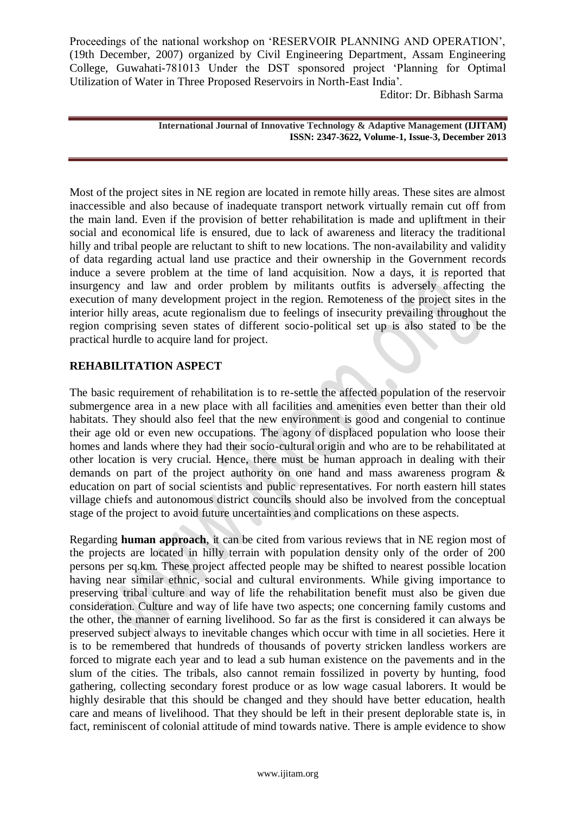Editor: Dr. Bibhash Sarma

**International Journal of Innovative Technology & Adaptive Management (IJITAM) ISSN: 2347-3622, Volume-1, Issue-3, December 2013**

Most of the project sites in NE region are located in remote hilly areas. These sites are almost inaccessible and also because of inadequate transport network virtually remain cut off from the main land. Even if the provision of better rehabilitation is made and upliftment in their social and economical life is ensured, due to lack of awareness and literacy the traditional hilly and tribal people are reluctant to shift to new locations. The non-availability and validity of data regarding actual land use practice and their ownership in the Government records induce a severe problem at the time of land acquisition. Now a days, it is reported that insurgency and law and order problem by militants outfits is adversely affecting the execution of many development project in the region. Remoteness of the project sites in the interior hilly areas, acute regionalism due to feelings of insecurity prevailing throughout the region comprising seven states of different socio-political set up is also stated to be the practical hurdle to acquire land for project.

## **REHABILITATION ASPECT**

The basic requirement of rehabilitation is to re-settle the affected population of the reservoir submergence area in a new place with all facilities and amenities even better than their old habitats. They should also feel that the new environment is good and congenial to continue their age old or even new occupations. The agony of displaced population who loose their homes and lands where they had their socio-cultural origin and who are to be rehabilitated at other location is very crucial. Hence, there must be human approach in dealing with their demands on part of the project authority on one hand and mass awareness program & education on part of social scientists and public representatives. For north eastern hill states village chiefs and autonomous district councils should also be involved from the conceptual stage of the project to avoid future uncertainties and complications on these aspects.

Regarding **human approach**, it can be cited from various reviews that in NE region most of the projects are located in hilly terrain with population density only of the order of 200 persons per sq.km. These project affected people may be shifted to nearest possible location having near similar ethnic, social and cultural environments. While giving importance to preserving tribal culture and way of life the rehabilitation benefit must also be given due consideration. Culture and way of life have two aspects; one concerning family customs and the other, the manner of earning livelihood. So far as the first is considered it can always be preserved subject always to inevitable changes which occur with time in all societies. Here it is to be remembered that hundreds of thousands of poverty stricken landless workers are forced to migrate each year and to lead a sub human existence on the pavements and in the slum of the cities. The tribals, also cannot remain fossilized in poverty by hunting, food gathering, collecting secondary forest produce or as low wage casual laborers. It would be highly desirable that this should be changed and they should have better education, health care and means of livelihood. That they should be left in their present deplorable state is, in fact, reminiscent of colonial attitude of mind towards native. There is ample evidence to show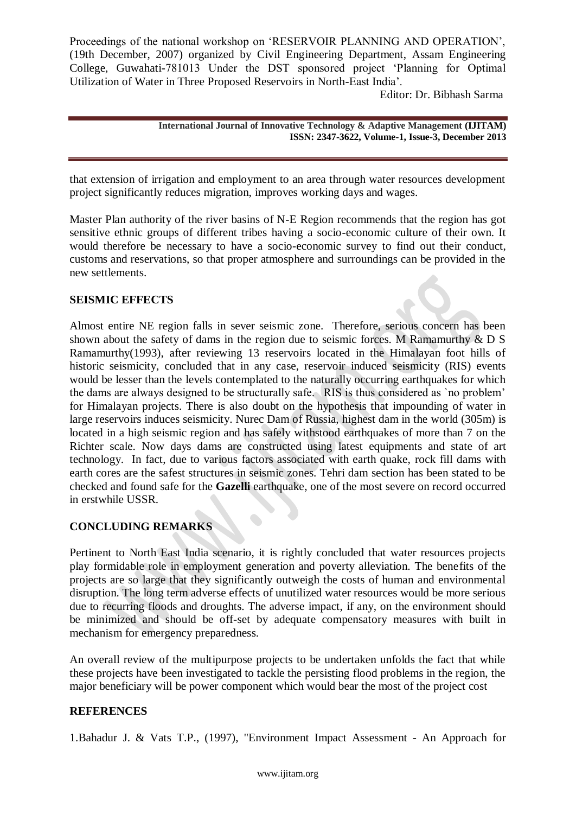Editor: Dr. Bibhash Sarma

**International Journal of Innovative Technology & Adaptive Management (IJITAM) ISSN: 2347-3622, Volume-1, Issue-3, December 2013**

that extension of irrigation and employment to an area through water resources development project significantly reduces migration, improves working days and wages.

Master Plan authority of the river basins of N-E Region recommends that the region has got sensitive ethnic groups of different tribes having a socio-economic culture of their own. It would therefore be necessary to have a socio-economic survey to find out their conduct, customs and reservations, so that proper atmosphere and surroundings can be provided in the new settlements.

## **SEISMIC EFFECTS**

Almost entire NE region falls in sever seismic zone. Therefore, serious concern has been shown about the safety of dams in the region due to seismic forces. M Ramamurthy & D S Ramamurthy(1993), after reviewing 13 reservoirs located in the Himalayan foot hills of historic seismicity, concluded that in any case, reservoir induced seismicity (RIS) events would be lesser than the levels contemplated to the naturally occurring earthquakes for which the dams are always designed to be structurally safe. RIS is thus considered as `no problem" for Himalayan projects. There is also doubt on the hypothesis that impounding of water in large reservoirs induces seismicity. Nurec Dam of Russia, highest dam in the world (305m) is located in a high seismic region and has safely withstood earthquakes of more than 7 on the Richter scale. Now days dams are constructed using latest equipments and state of art technology. In fact, due to various factors associated with earth quake, rock fill dams with earth cores are the safest structures in seismic zones. Tehri dam section has been stated to be checked and found safe for the **Gazelli** earthquake, one of the most severe on record occurred in erstwhile USSR.

## **CONCLUDING REMARKS**

Pertinent to North East India scenario, it is rightly concluded that water resources projects play formidable role in employment generation and poverty alleviation. The benefits of the projects are so large that they significantly outweigh the costs of human and environmental disruption. The long term adverse effects of unutilized water resources would be more serious due to recurring floods and droughts. The adverse impact, if any, on the environment should be minimized and should be off-set by adequate compensatory measures with built in mechanism for emergency preparedness.

An overall review of the multipurpose projects to be undertaken unfolds the fact that while these projects have been investigated to tackle the persisting flood problems in the region, the major beneficiary will be power component which would bear the most of the project cost

## **REFERENCES**

1.Bahadur J. & Vats T.P., (1997), "Environment Impact Assessment - An Approach for